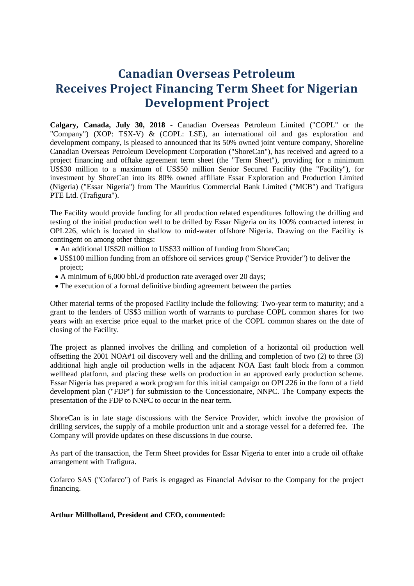# **Canadian Overseas Petroleum Receives Project Financing Term Sheet for Nigerian Development Project**

**Calgary, Canada, July 30, 2018** - Canadian Overseas Petroleum Limited ("COPL" or the "Company") (XOP: TSX-V) & (COPL: LSE), an international oil and gas exploration and development company, is pleased to announced that its 50% owned joint venture company, Shoreline Canadian Overseas Petroleum Development Corporation ("ShoreCan"), has received and agreed to a project financing and offtake agreement term sheet (the "Term Sheet"), providing for a minimum US\$30 million to a maximum of US\$50 million Senior Secured Facility (the "Facility"), for investment by ShoreCan into its 80% owned affiliate Essar Exploration and Production Limited (Nigeria) ("Essar Nigeria") from The Mauritius Commercial Bank Limited ("MCB") and Trafigura PTE Ltd. (Trafigura").

The Facility would provide funding for all production related expenditures following the drilling and testing of the initial production well to be drilled by Essar Nigeria on its 100% contracted interest in OPL226, which is located in shallow to mid-water offshore Nigeria. Drawing on the Facility is contingent on among other things:

- An additional US\$20 million to US\$33 million of funding from ShoreCan;
- US\$100 million funding from an offshore oil services group ("Service Provider") to deliver the project;
- A minimum of 6,000 bbl./d production rate averaged over 20 days;
- The execution of a formal definitive binding agreement between the parties

Other material terms of the proposed Facility include the following: Two-year term to maturity; and a grant to the lenders of US\$3 million worth of warrants to purchase COPL common shares for two years with an exercise price equal to the market price of the COPL common shares on the date of closing of the Facility.

The project as planned involves the drilling and completion of a horizontal oil production well offsetting the 2001 NOA#1 oil discovery well and the drilling and completion of two (2) to three (3) additional high angle oil production wells in the adjacent NOA East fault block from a common wellhead platform, and placing these wells on production in an approved early production scheme. Essar Nigeria has prepared a work program for this initial campaign on OPL226 in the form of a field development plan ("FDP") for submission to the Concessionaire, NNPC. The Company expects the presentation of the FDP to NNPC to occur in the near term.

ShoreCan is in late stage discussions with the Service Provider, which involve the provision of drilling services, the supply of a mobile production unit and a storage vessel for a deferred fee. The Company will provide updates on these discussions in due course.

As part of the transaction, the Term Sheet provides for Essar Nigeria to enter into a crude oil offtake arrangement with Trafigura.

Cofarco SAS ("Cofarco") of Paris is engaged as Financial Advisor to the Company for the project financing.

**Arthur Millholland, President and CEO, commented:**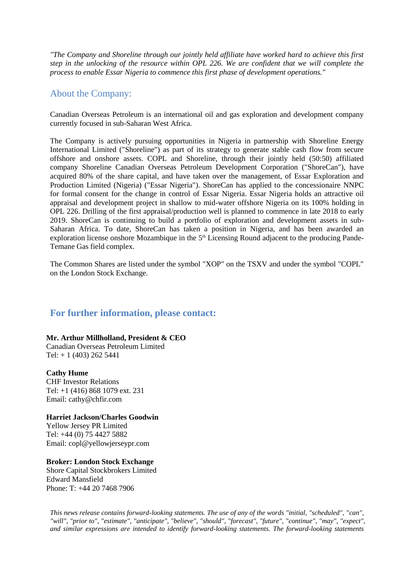*"The Company and Shoreline through our jointly held affiliate have worked hard to achieve this first step in the unlocking of the resource within OPL 226. We are confident that we will complete the process to enable Essar Nigeria to commence this first phase of development operations."*

## About the Company:

Canadian Overseas Petroleum is an international oil and gas exploration and development company currently focused in sub-Saharan West Africa.

The Company is actively pursuing opportunities in Nigeria in partnership with Shoreline Energy International Limited ("Shoreline") as part of its strategy to generate stable cash flow from secure offshore and onshore assets. COPL and Shoreline, through their jointly held (50:50) affiliated company Shoreline Canadian Overseas Petroleum Development Corporation ("ShoreCan"), have acquired 80% of the share capital, and have taken over the management, of Essar Exploration and Production Limited (Nigeria) ("Essar Nigeria"). ShoreCan has applied to the concessionaire NNPC for formal consent for the change in control of Essar Nigeria. Essar Nigeria holds an attractive oil appraisal and development project in shallow to mid-water offshore Nigeria on its 100% holding in OPL 226. Drilling of the first appraisal/production well is planned to commence in late 2018 to early 2019. ShoreCan is continuing to build a portfolio of exploration and development assets in sub-Saharan Africa. To date, ShoreCan has taken a position in Nigeria, and has been awarded an exploration license onshore Mozambique in the 5<sup>th</sup> Licensing Round adjacent to the producing Pande-Temane Gas field complex.

The Common Shares are listed under the symbol "XOP" on the TSXV and under the symbol "COPL" on the London Stock Exchange.

### **For further information, please contact:**

#### **Mr. Arthur Millholland, President & CEO**

Canadian Overseas Petroleum Limited Tel:  $+ 1 (403) 262 5441$ 

**Cathy Hume** CHF Investor Relations Tel: +1 (416) 868 1079 ext. 231 Email: cathy@chfir.com

#### **Harriet Jackson/Charles Goodwin**

Yellow Jersey PR Limited Tel: +44 (0) 75 4427 5882 Email: copl@yellowjerseypr.com

#### **Broker: London Stock Exchange**

Shore Capital Stockbrokers Limited Edward Mansfield Phone: T: +44 20 7468 7906

*This news release contains forward-looking statements. The use of any of the words "initial, "scheduled", "can", "will", "prior to", "estimate", "anticipate", "believe", "should", "forecast", "future", "continue", "may", "expect", and similar expressions are intended to identify forward-looking statements. The forward-looking statements*